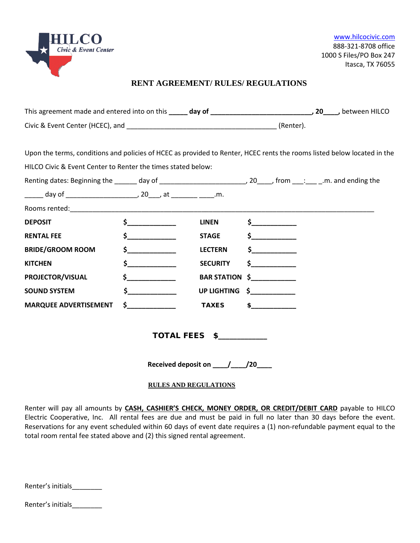

# **RENT AGREEMENT/ RULES/ REGULATIONS**

| Upon the terms, conditions and policies of HCEC as provided to Renter, HCEC rents the rooms listed below located in the |          |                                         |                |  |
|-------------------------------------------------------------------------------------------------------------------------|----------|-----------------------------------------|----------------|--|
| HILCO Civic & Event Center to Renter the times stated below:                                                            |          |                                         |                |  |
|                                                                                                                         |          |                                         |                |  |
| ______ day of ___________________________, 20____, at _________ _____.m.                                                |          |                                         |                |  |
|                                                                                                                         |          |                                         |                |  |
| <b>DEPOSIT</b>                                                                                                          | $\sim$   | <b>LINEN</b>                            | $\zeta$        |  |
| <b>RENTAL FEE</b>                                                                                                       | $\sim$   | <b>STAGE</b>                            | $\sim$         |  |
| <b>BRIDE/GROOM ROOM</b>                                                                                                 | $\sim$ 5 | <b>LECTERN</b>                          |                |  |
| <b>KITCHEN</b>                                                                                                          | $\sim$ 5 | <b>SECURITY</b>                         | $\sim$         |  |
| PROJECTOR/VISUAL                                                                                                        | $\sim$   |                                         | BAR STATION \$ |  |
| <b>SOUND SYSTEM</b>                                                                                                     | $\sim$ 5 |                                         | UP LIGHTING \$ |  |
| <b>MARQUEE ADVERTISEMENT</b>                                                                                            | $\sim$   | <b>TAXES</b>                            | $\sim$         |  |
|                                                                                                                         |          | TOTAL FEES \$                           |                |  |
|                                                                                                                         |          | Received deposit on _____/_____/20_____ |                |  |
|                                                                                                                         |          | <b>RULES AND REGULATIONS</b>            |                |  |

Renter will pay all amounts by **CASH, CASHIER'S CHECK, MONEY ORDER, OR CREDIT/DEBIT CARD** payable to HILCO Electric Cooperative, Inc.All rental fees are due and must be paid in full no later than 30 days before the event. Reservations for any event scheduled within 60 days of event date requires a (1) non-refundable payment equal to the total room rental fee stated above and (2) this signed rental agreement.

| Renter's initials |
|-------------------|
|-------------------|

Renter's initials\_\_\_\_\_\_\_\_\_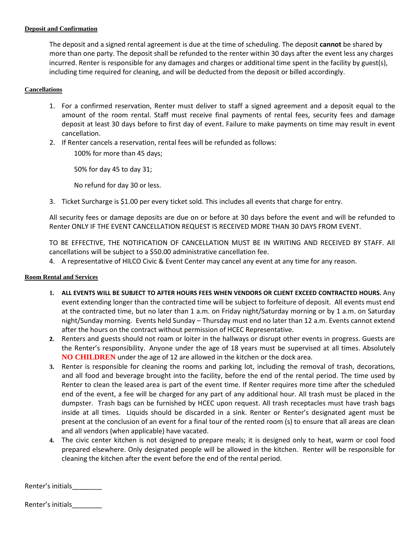# **Deposit and Confirmation**

The deposit and a signed rental agreement is due at the time of scheduling. The deposit **cannot** be shared by more than one party. The deposit shall be refunded to the renter within 30 days after the event less any charges incurred. Renter is responsible for any damages and charges or additional time spent in the facility by guest(s), including time required for cleaning, and will be deducted from the deposit or billed accordingly.

# **Cancellations**

- 1. For a confirmed reservation, Renter must deliver to staff a signed agreement and a deposit equal to the amount of the room rental. Staff must receive final payments of rental fees, security fees and damage deposit at least 30 days before to first day of event. Failure to make payments on time may result in event cancellation.
- 2. If Renter cancels a reservation, rental fees will be refunded as follows:

100% for more than 45 days;

50% for day 45 to day 31;

No refund for day 30 or less.

3. Ticket Surcharge is \$1.00 per every ticket sold. This includes all events that charge for entry.

All security fees or damage deposits are due on or before at 30 days before the event and will be refunded to Renter ONLY IF THE EVENT CANCELLATION REQUEST IS RECEIVED MORE THAN 30 DAYS FROM EVENT.

TO BE EFFECTIVE, THE NOTIFICATION OF CANCELLATION MUST BE IN WRITING AND RECEIVED BY STAFF. All cancellations will be subject to a \$50.00 administrative cancellation fee.

4. A representative of HILCO Civic & Event Center may cancel any event at any time for any reason.

# **Room Rental and Services**

- **1. ALL EVENTS WILL BE SUBJECT TO AFTER HOURS FEES WHEN VENDORS OR CLIENT EXCEED CONTRACTED HOURS.** Any event extending longer than the contracted time will be subject to forfeiture of deposit. All events must end at the contracted time, but no later than 1 a.m. on Friday night/Saturday morning or by 1 a.m. on Saturday night/Sunday morning. Events held Sunday – Thursday must end no later than 12 a.m. Events cannot extend after the hours on the contract without permission of HCEC Representative.
- **2.** Renters and guests should not roam or loiter in the hallways or disrupt other events in progress. Guests are the Renter's responsibility.Anyone under the age of 18 years must be supervised at all times. Absolutely **NO CHILDREN** under the age of 12 are allowed in the kitchen or the dock area.
- **3.** Renter is responsible for cleaning the rooms and parking lot, including the removal of trash, decorations, and all food and beverage brought into the facility, before the end of the rental period. The time used by Renter to clean the leased area is part of the event time. If Renter requires more time after the scheduled end of the event, a fee will be charged for any part of any additional hour. All trash must be placed in the dumpster. Trash bags can be furnished by HCEC upon request. All trash receptacles must have trash bags inside at all times. Liquids should be discarded in a sink. Renter or Renter's designated agent must be present at the conclusion of an event for a final tour of the rented room (s) to ensure that all areas are clean and all vendors (when applicable) have vacated.
- **4.** The civic center kitchen is not designed to prepare meals; it is designed only to heat, warm or cool food prepared elsewhere. Only designated people will be allowed in the kitchen. Renter will be responsible for cleaning the kitchen after the event before the end of the rental period.

Renter's initials

Renter's initials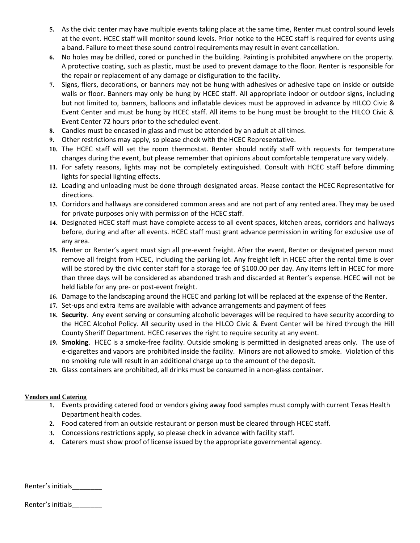- **5.** As the civic center may have multiple events taking place at the same time, Renter must control sound levels at the event. HCEC staff will monitor sound levels. Prior notice to the HCEC staff is required for events using a band. Failure to meet these sound control requirements may result in event cancellation.
- **6.** No holes may be drilled, cored or punched in the building. Painting is prohibited anywhere on the property. A protective coating, such as plastic, must be used to prevent damage to the floor. Renter is responsible for the repair or replacement of any damage or disfiguration to the facility.
- **7.** Signs, fliers, decorations, or banners may not be hung with adhesives or adhesive tape on inside or outside walls or floor. Banners may only be hung by HCEC staff. All appropriate indoor or outdoor signs, including but not limited to, banners, balloons and inflatable devices must be approved in advance by HILCO Civic & Event Center and must be hung by HCEC staff. All items to be hung must be brought to the HILCO Civic & Event Center 72 hours prior to the scheduled event.
- **8.** Candles must be encased in glass and must be attended by an adult at all times.
- **9.** Other restrictions may apply, so please check with the HCEC Representative.
- **10.** The HCEC staff will set the room thermostat. Renter should notify staff with requests for temperature changes during the event, but please remember that opinions about comfortable temperature vary widely.
- **11.** For safety reasons, lights may not be completely extinguished. Consult with HCEC staff before dimming lights for special lighting effects.
- **12.** Loading and unloading must be done through designated areas. Please contact the HCEC Representative for directions.
- **13.** Corridors and hallways are considered common areas and are not part of any rented area. They may be used for private purposes only with permission of the HCEC staff.
- **14.** Designated HCEC staff must have complete access to all event spaces, kitchen areas, corridors and hallways before, during and after all events. HCEC staff must grant advance permission in writing for exclusive use of any area.
- **15.** Renter or Renter's agent must sign all pre-event freight. After the event, Renter or designated person must remove all freight from HCEC, including the parking lot. Any freight left in HCEC after the rental time is over will be stored by the civic center staff for a storage fee of \$100.00 per day. Any items left in HCEC for more than three days will be considered as abandoned trash and discarded at Renter's expense. HCEC will not be held liable for any pre- or post-event freight.
- **16.** Damage to the landscaping around the HCEC and parking lot will be replaced at the expense of the Renter.
- **17.** Set-ups and extra items are available with advance arrangements and payment of fees
- **18. Security**. Any event serving or consuming alcoholic beverages will be required to have security according to the HCEC Alcohol Policy. All security used in the HILCO Civic & Event Center will be hired through the Hill County Sheriff Department. HCEC reserves the right to require security at any event.
- **19. Smoking**. HCEC is a smoke-free facility. Outside smoking is permitted in designated areas only. The use of e-cigarettes and vapors are prohibited inside the facility. Minors are not allowed to smoke. Violation of this no smoking rule will result in an additional charge up to the amount of the deposit.
- **20.** Glass containers are prohibited, all drinks must be consumed in a non-glass container.

# **Vendors and Catering**

- **1.** Events providing catered food or vendors giving away food samples must comply with current Texas Health Department health codes.
- **2.** Food catered from an outside restaurant or person must be cleared through HCEC staff.
- **3.** Concessions restrictions apply, so please check in advance with facility staff.
- **4.** Caterers must show proof of license issued by the appropriate governmental agency.

| Renter's initials |  |
|-------------------|--|
|-------------------|--|

Renter's initials\_\_\_\_\_\_\_\_